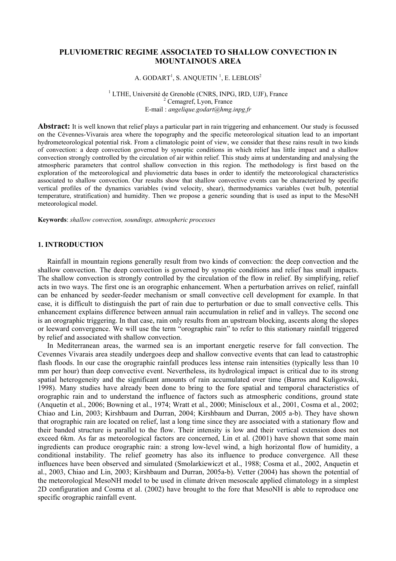# **PLUVIOMETRIC REGIME ASSOCIATED TO SHALLOW CONVECTION IN MOUNTAINOUS AREA**

### A. GODART $^1$ , S. ANQUETIN  $^1$ , E. LEBLOIS $^2$

<sup>1</sup> LTHE, Université de Grenoble (CNRS, INPG, IRD, UJF), France  $2$  Cemagref, Lyon, France E-mail : *angelique.godart@hmg.inpg.fr* 

**Abstract:** It is well known that relief plays a particular part in rain triggering and enhancement. Our study is focussed on the Cévennes-Vivarais area where the topography and the specific meteorological situation lead to an important hydrometeorological potential risk. From a climatologic point of view, we consider that these rains result in two kinds of convection: a deep convection governed by synoptic conditions in which relief has little impact and a shallow convection strongly controlled by the circulation of air within relief. This study aims at understanding and analysing the atmospheric parameters that control shallow convection in this region. The methodology is first based on the exploration of the meteorological and pluviometric data bases in order to identify the meteorological characteristics associated to shallow convection. Our results show that shallow convective events can be characterized by specific vertical profiles of the dynamics variables (wind velocity, shear), thermodynamics variables (wet bulb, potential temperature, stratification) and humidity. Then we propose a generic sounding that is used as input to the MesoNH meteorological model.

**Keywords**: *shallow convection, soundings, atmospheric processes* 

### **1. INTRODUCTION**

Rainfall in mountain regions generally result from two kinds of convection: the deep convection and the shallow convection. The deep convection is governed by synoptic conditions and relief has small impacts. The shallow convection is strongly controlled by the circulation of the flow in relief. By simplifying, relief acts in two ways. The first one is an orographic enhancement. When a perturbation arrives on relief, rainfall can be enhanced by seeder-feeder mechanism or small convective cell development for example. In that case, it is difficult to distinguish the part of rain due to perturbation or due to small convective cells. This enhancement explains difference between annual rain accumulation in relief and in valleys. The second one is an orographic triggering. In that case, rain only results from an upstream blocking, ascents along the slopes or leeward convergence. We will use the term "orographic rain" to refer to this stationary rainfall triggered by relief and associated with shallow convection.

In Mediterranean areas, the warmed sea is an important energetic reserve for fall convection. The Cevennes Vivarais area steadily undergoes deep and shallow convective events that can lead to catastrophic flash floods. In our case the orographic rainfall produces less intense rain intensities (typically less than 10 mm per hour) than deep convective event. Nevertheless, its hydrological impact is critical due to its strong spatial heterogeneity and the significant amounts of rain accumulated over time (Barros and Kuligowski, 1998). Many studies have already been done to bring to the fore spatial and temporal characteristics of orographic rain and to understand the influence of factors such as atmospheric conditions, ground state (Anquetin et al., 2006; Bowning et al., 1974; Wratt et al., 2000; Miniscloux et al., 2001, Cosma et al., 2002; Chiao and Lin, 2003; Kirshbaum and Durran, 2004; Kirshbaum and Durran, 2005 a-b). They have shown that orographic rain are located on relief, last a long time since they are associated with a stationary flow and their banded structure is parallel to the flow. Their intensity is low and their vertical extension does not exceed 6km. As far as meteorological factors are concerned, Lin et al. (2001) have shown that some main ingredients can produce orographic rain: a strong low-level wind, a high horizontal flow of humidity, a conditional instability. The relief geometry has also its influence to produce convergence. All these influences have been observed and simulated (Smolarkiewiczt et al., 1988; Cosma et al., 2002, Anquetin et al., 2003, Chiao and Lin, 2003; Kirshbaum and Durran, 2005a-b). Vetter (2004) has shown the potential of the meteorological MesoNH model to be used in climate driven mesoscale applied climatology in a simplest 2D configuration and Cosma et al. (2002) have brought to the fore that MesoNH is able to reproduce one specific orographic rainfall event.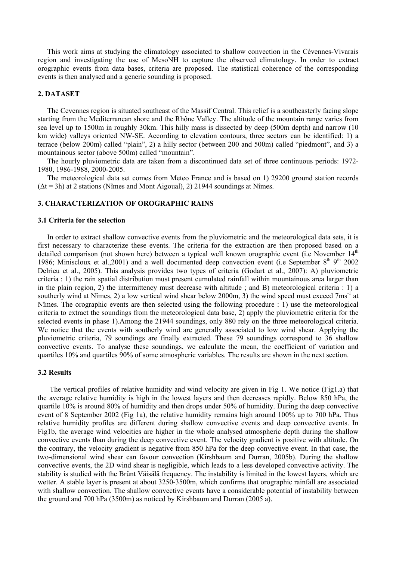This work aims at studying the climatology associated to shallow convection in the Cévennes-Vivarais region and investigating the use of MesoNH to capture the observed climatology. In order to extract orographic events from data bases, criteria are proposed. The statistical coherence of the corresponding events is then analysed and a generic sounding is proposed.

## **2. DATASET**

The Cevennes region is situated southeast of the Massif Central. This relief is a southeasterly facing slope starting from the Mediterranean shore and the Rhône Valley. The altitude of the mountain range varies from sea level up to 1500m in roughly 30km. This hilly mass is dissected by deep (500m depth) and narrow (10 km wide) valleys oriented NW-SE. According to elevation contours, three sectors can be identified: 1) a terrace (below 200m) called "plain", 2) a hilly sector (between 200 and 500m) called "piedmont", and 3) a mountainous sector (above 500m) called "mountain".

The hourly pluviometric data are taken from a discontinued data set of three continuous periods: 1972- 1980, 1986-1988, 2000-2005.

The meteorological data set comes from Meteo France and is based on 1) 29200 ground station records  $(\Delta t = 3h)$  at 2 stations (Nîmes and Mont Aigoual), 2) 21944 soundings at Nîmes.

# **3. CHARACTERIZATION OF OROGRAPHIC RAINS**

#### **3.1 Criteria for the selection**

In order to extract shallow convective events from the pluviometric and the meteorological data sets, it is first necessary to characterize these events. The criteria for the extraction are then proposed based on a detailed comparison (not shown here) between a typical well known orographic event (i.e November 14<sup>th</sup>) 1986; Miniscloux et al., 2001) and a well documented deep convection event (i.e September  $8<sup>th</sup> 9<sup>th</sup> 2002$ Delrieu et al., 2005). This analysis provides two types of criteria (Godart et al., 2007): A) pluviometric criteria : 1) the rain spatial distribution must present cumulated rainfall within mountainous area larger than in the plain region, 2) the intermittency must decrease with altitude ; and B) meteorological criteria : 1) a southerly wind at Nîmes, 2) a low vertical wind shear below 2000m, 3) the wind speed must exceed 7ms<sup>-1</sup> at Nîmes. The orographic events are then selected using the following procedure : 1) use the meteorological criteria to extract the soundings from the meteorological data base, 2) apply the pluviometric criteria for the selected events in phase 1).Among the 21944 soundings, only 880 rely on the three meteorological criteria. We notice that the events with southerly wind are generally associated to low wind shear. Applying the pluviometric criteria, 79 soundings are finally extracted. These 79 soundings correspond to 36 shallow convective events. To analyse these soundings, we calculate the mean, the coefficient of variation and quartiles 10% and quartiles 90% of some atmospheric variables. The results are shown in the next section.

### **3.2 Results**

The vertical profiles of relative humidity and wind velocity are given in Fig 1. We notice (Fig1.a) that the average relative humidity is high in the lowest layers and then decreases rapidly. Below 850 hPa, the quartile 10% is around 80% of humidity and then drops under 50% of humidity. During the deep convective event of 8 September 2002 (Fig 1a), the relative humidity remains high around 100% up to 700 hPa. Thus relative humidity profiles are different during shallow convective events and deep convective events. In Fig1b, the average wind velocities are higher in the whole analysed atmospheric depth during the shallow convective events than during the deep convective event. The velocity gradient is positive with altitude. On the contrary, the velocity gradient is negative from 850 hPa for the deep convective event. In that case, the two-dimensional wind shear can favour convection (Kirshbaum and Durran, 2005b). During the shallow convective events, the 2D wind shear is negligible, which leads to a less developed convective activity. The stability is studied with the Brünt Väisälä frequency. The instability is limited in the lowest layers, which are wetter. A stable layer is present at about 3250-3500m, which confirms that orographic rainfall are associated with shallow convection. The shallow convective events have a considerable potential of instability between the ground and 700 hPa (3500m) as noticed by Kirshbaum and Durran (2005 a).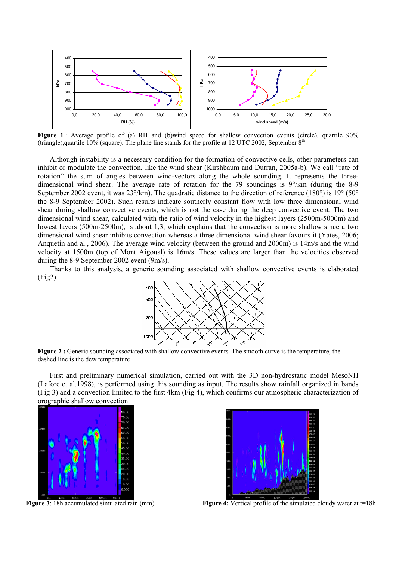

Figure 1 : Average profile of (a) RH and (b)wind speed for shallow convection events (circle), quartile 90% (triangle),quartile  $10\%$  (square). The plane line stands for the profile at 12 UTC 2002, September  $8<sup>th</sup>$ 

Although instability is a necessary condition for the formation of convective cells, other parameters can inhibit or modulate the convection, like the wind shear (Kirshbaum and Durran, 2005a-b). We call "rate of rotation" the sum of angles between wind-vectors along the whole sounding. It represents the threedimensional wind shear. The average rate of rotation for the 79 soundings is 9°/km (during the 8-9 September 2002 event, it was 23°/km). The quadratic distance to the direction of reference (180°) is 19° (50°) the 8-9 September 2002). Such results indicate southerly constant flow with low three dimensional wind shear during shallow convective events, which is not the case during the deep convective event. The two dimensional wind shear, calculated with the ratio of wind velocity in the highest layers (2500m-5000m) and lowest layers (500m-2500m), is about 1,3, which explains that the convection is more shallow since a two dimensional wind shear inhibits convection whereas a three dimensional wind shear favours it (Yates, 2006; Anquetin and al., 2006). The average wind velocity (between the ground and 2000m) is 14m/s and the wind velocity at 1500m (top of Mont Aigoual) is 16m/s. These values are larger than the velocities observed during the 8-9 September 2002 event (9m/s).

Thanks to this analysis, a generic sounding associated with shallow convective events is elaborated (Fig2).



**Figure 2 :** Generic sounding associated with shallow convective events. The smooth curve is the temperature, the dashed line is the dew temperature

First and preliminary numerical simulation, carried out with the 3D non-hydrostatic model MesoNH (Lafore et al.1998), is performed using this sounding as input. The results show rainfall organized in bands (Fig 3) and a convection limited to the first 4km (Fig 4), which confirms our atmospheric characterization of orographic shallow convection.





**Figure 3**: 18h accumulated simulated rain (mm) **Figure 4:** Vertical profile of the simulated cloudy water at t=18h